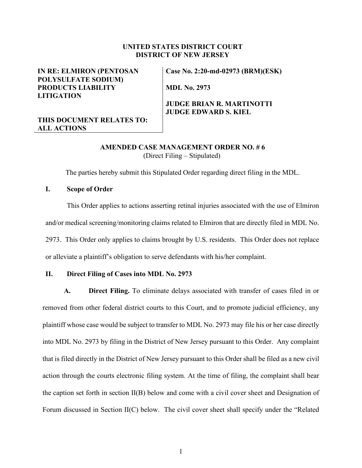#### **UNITED STATES DISTRICT COURT DISTRICT OF NEW JERSEY**

### **IN RE: ELMIRON (PENTOSAN POLYSULFATE SODIUM) PRODUCTS LIABILITY LITIGATION**

# **THIS DOCUMENT RELATES TO: ALL ACTIONS**

**Case No. 2:20-md-02973 (BRM)(ESK)** 

**MDL No. 2973**

## **JUDGE BRIAN R. MARTINOTTI JUDGE EDWARD S. KIEL**

### **AMENDED CASE MANAGEMENT ORDER NO. # 6** (Direct Filing – Stipulated)

The parties hereby submit this Stipulated Order regarding direct filing in the MDL.

### **I. Scope of Order**

This Order applies to actions asserting retinal injuries associated with the use of Elmiron and/or medical screening/monitoring claims related to Elmiron that are directly filed in MDL No. 2973. This Order only applies to claims brought by U.S. residents. This Order does not replace or alleviate a plaintiff's obligation to serve defendants with his/her complaint.

#### **II. Direct Filing of Cases into MDL No. 2973**

**A. Direct Filing.** To eliminate delays associated with transfer of cases filed in or removed from other federal district courts to this Court, and to promote judicial efficiency, any plaintiff whose case would be subject to transfer to MDL No. 2973 may file his or her case directly into MDL No. 2973 by filing in the District of New Jersey pursuant to this Order. Any complaint that is filed directly in the District of New Jersey pursuant to this Order shall be filed as a new civil action through the courts electronic filing system. At the time of filing, the complaint shall bear the caption set forth in section II(B) below and come with a civil cover sheet and Designation of Forum discussed in Section II(C) below. The civil cover sheet shall specify under the "Related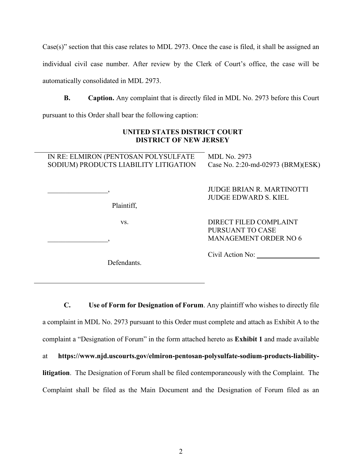Case(s)" section that this case relates to MDL 2973. Once the case is filed, it shall be assigned an individual civil case number. After review by the Clerk of Court's office, the case will be automatically consolidated in MDL 2973.

**B. Caption.** Any complaint that is directly filed in MDL No. 2973 before this Court pursuant to this Order shall bear the following caption:

# **UNITED STATES DISTRICT COURT DISTRICT OF NEW JERSEY**

| IN RE: ELMIRON (PENTOSAN POLYSULFATE<br>SODIUM) PRODUCTS LIABILITY LITIGATION | <b>MDL No. 2973</b><br>Case No. 2:20-md-02973 (BRM)(ESK)                   |
|-------------------------------------------------------------------------------|----------------------------------------------------------------------------|
| Plaintiff,                                                                    | <b>JUDGE BRIAN R. MARTINOTTI</b><br><b>JUDGE EDWARD S. KIEL</b>            |
| VS.                                                                           | DIRECT FILED COMPLAINT<br>PURSUANT TO CASE<br><b>MANAGEMENT ORDER NO 6</b> |
| $\mathbf{r}$ $\alpha$ $\mathbf{r}$ $\alpha$                                   | Civil Action No:                                                           |

Defendants.

**C. Use of Form for Designation of Forum**. Any plaintiff who wishes to directly file a complaint in MDL No. 2973 pursuant to this Order must complete and attach as Exhibit A to the complaint a "Designation of Forum" in the form attached hereto as **Exhibit 1** and made available at **https://www.njd.uscourts.gov/elmiron-pentosan-polysulfate-sodium-products-liabilitylitigation**. The Designation of Forum shall be filed contemporaneously with the Complaint. The Complaint shall be filed as the Main Document and the Designation of Forum filed as an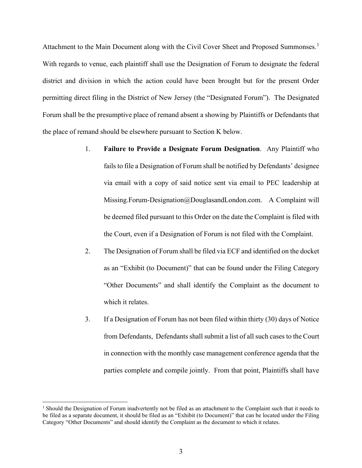Attachment to the Main Document along with the Civil Cover Sheet and Proposed Summonses.<sup>[1](#page-2-0)</sup> With regards to venue, each plaintiff shall use the Designation of Forum to designate the federal district and division in which the action could have been brought but for the present Order permitting direct filing in the District of New Jersey (the "Designated Forum"). The Designated Forum shall be the presumptive place of remand absent a showing by Plaintiffs or Defendants that the place of remand should be elsewhere pursuant to Section K below.

- 1. **Failure to Provide a Designate Forum Designation**. Any Plaintiff who fails to file a Designation of Forum shall be notified by Defendants' designee via email with a copy of said notice sent via email to PEC leadership at Missing.Forum-Designation@DouglasandLondon.com. A Complaint will be deemed filed pursuant to this Order on the date the Complaint is filed with the Court, even if a Designation of Forum is not filed with the Complaint.
- 2. The Designation of Forum shall be filed via ECF and identified on the docket as an "Exhibit (to Document)" that can be found under the Filing Category "Other Documents" and shall identify the Complaint as the document to which it relates.
- 3. If a Designation of Forum has not been filed within thirty (30) days of Notice from Defendants, Defendants shall submit a list of all such cases to the Court in connection with the monthly case management conference agenda that the parties complete and compile jointly. From that point, Plaintiffs shall have

<span id="page-2-0"></span><sup>&</sup>lt;sup>1</sup> Should the Designation of Forum inadvertently not be filed as an attachment to the Complaint such that it needs to be filed as a separate document, it should be filed as an "Exhibit (to Document)" that can be located under the Filing Category "Other Documents" and should identify the Complaint as the document to which it relates.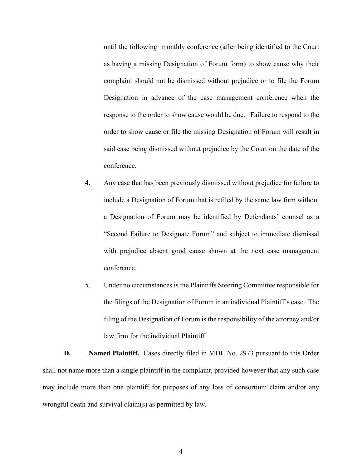until the following monthly conference (after being identified to the Court as having a missing Designation of Forum form) to show cause why their complaint should not be dismissed without prejudice or to file the Forum Designation in advance of the case management conference when the response to the order to show cause would be due. Failure to respond to the order to show cause or file the missing Designation of Forum will result in said case being dismissed without prejudice by the Court on the date of the conference.

- 4. Any case that has been previously dismissed without prejudice for failure to include a Designation of Forum that is refiled by the same law firm without a Designation of Forum may be identified by Defendants' counsel as a "Second Failure to Designate Forum" and subject to immediate dismissal with prejudice absent good cause shown at the next case management conference.
- 5. Under no circumstances is the Plaintiffs Steering Committee responsible for the filings of the Designation of Forum in an individual Plaintiff's case. The filing of the Designation of Forum is the responsibility of the attorney and/or law firm for the individual Plaintiff.

**D. Named Plaintiff.** Cases directly filed in MDL No. 2973 pursuant to this Order shall not name more than a single plaintiff in the complaint, provided however that any such case may include more than one plaintiff for purposes of any loss of consortium claim and/or any wrongful death and survival claim(s) as permitted by law.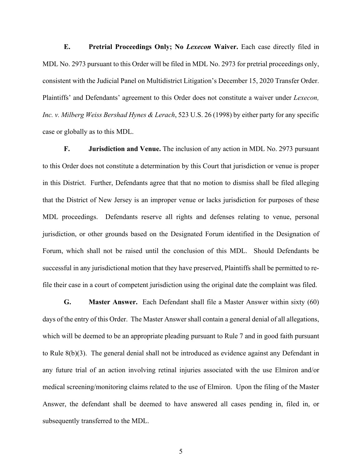**E. Pretrial Proceedings Only; No** *Lexecon* **Waiver.** Each case directly filed in MDL No. 2973 pursuant to this Order will be filed in MDL No. 2973 for pretrial proceedings only, consistent with the Judicial Panel on Multidistrict Litigation's December 15, 2020 Transfer Order. Plaintiffs' and Defendants' agreement to this Order does not constitute a waiver under *Lexecon, Inc. v. Milberg Weiss Bershad Hynes & Lerach*, 523 U.S. 26 (1998) by either party for any specific case or globally as to this MDL.

**F. Jurisdiction and Venue.** The inclusion of any action in MDL No. 2973 pursuant to this Order does not constitute a determination by this Court that jurisdiction or venue is proper in this District. Further, Defendants agree that that no motion to dismiss shall be filed alleging that the District of New Jersey is an improper venue or lacks jurisdiction for purposes of these MDL proceedings. Defendants reserve all rights and defenses relating to venue, personal jurisdiction, or other grounds based on the Designated Forum identified in the Designation of Forum, which shall not be raised until the conclusion of this MDL. Should Defendants be successful in any jurisdictional motion that they have preserved, Plaintiffs shall be permitted to refile their case in a court of competent jurisdiction using the original date the complaint was filed.

**G. Master Answer.** Each Defendant shall file a Master Answer within sixty (60) days of the entry of this Order. The Master Answer shall contain a general denial of all allegations, which will be deemed to be an appropriate pleading pursuant to Rule 7 and in good faith pursuant to Rule 8(b)(3). The general denial shall not be introduced as evidence against any Defendant in any future trial of an action involving retinal injuries associated with the use Elmiron and/or medical screening/monitoring claims related to the use of Elmiron. Upon the filing of the Master Answer, the defendant shall be deemed to have answered all cases pending in, filed in, or subsequently transferred to the MDL.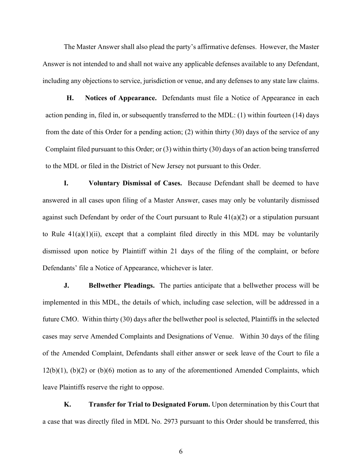The Master Answer shall also plead the party's affirmative defenses. However, the Master Answer is not intended to and shall not waive any applicable defenses available to any Defendant, including any objections to service, jurisdiction or venue, and any defenses to any state law claims.

**H. Notices of Appearance.** Defendants must file a Notice of Appearance in each action pending in, filed in, or subsequently transferred to the MDL: (1) within fourteen (14) days from the date of this Order for a pending action; (2) within thirty (30) days of the service of any Complaint filed pursuant to this Order; or (3) within thirty (30) days of an action being transferred to the MDL or filed in the District of New Jersey not pursuant to this Order.

**I. Voluntary Dismissal of Cases.** Because Defendant shall be deemed to have answered in all cases upon filing of a Master Answer, cases may only be voluntarily dismissed against such Defendant by order of the Court pursuant to Rule  $41(a)(2)$  or a stipulation pursuant to Rule  $41(a)(1)(ii)$ , except that a complaint filed directly in this MDL may be voluntarily dismissed upon notice by Plaintiff within 21 days of the filing of the complaint, or before Defendants' file a Notice of Appearance, whichever is later.

**J. Bellwether Pleadings.** The parties anticipate that a bellwether process will be implemented in this MDL, the details of which, including case selection, will be addressed in a future CMO. Within thirty (30) days after the bellwether pool is selected, Plaintiffs in the selected cases may serve Amended Complaints and Designations of Venue. Within 30 days of the filing of the Amended Complaint, Defendants shall either answer or seek leave of the Court to file a  $12(b)(1)$ ,  $(b)(2)$  or  $(b)(6)$  motion as to any of the aforementioned Amended Complaints, which leave Plaintiffs reserve the right to oppose.

**K. Transfer for Trial to Designated Forum.** Upon determination by this Court that a case that was directly filed in MDL No. 2973 pursuant to this Order should be transferred, this

6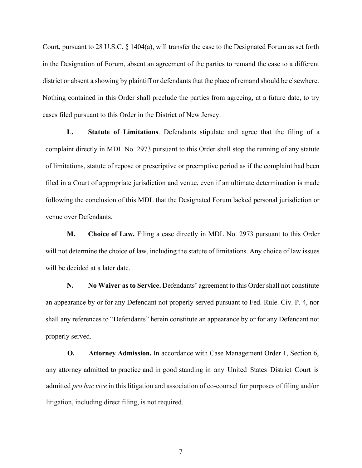Court, pursuant to 28 U.S.C. § 1404(a), will transfer the case to the Designated Forum as set forth in the Designation of Forum, absent an agreement of the parties to remand the case to a different district or absent a showing by plaintiff or defendants that the place of remand should be elsewhere. Nothing contained in this Order shall preclude the parties from agreeing, at a future date, to try cases filed pursuant to this Order in the District of New Jersey.

**L. Statute of Limitations**. Defendants stipulate and agree that the filing of a complaint directly in MDL No. 2973 pursuant to this Order shall stop the running of any statute of limitations, statute of repose or prescriptive or preemptive period as if the complaint had been filed in a Court of appropriate jurisdiction and venue, even if an ultimate determination is made following the conclusion of this MDL that the Designated Forum lacked personal jurisdiction or venue over Defendants.

**M. Choice of Law.** Filing a case directly in MDL No. 2973 pursuant to this Order will not determine the choice of law, including the statute of limitations. Any choice of law issues will be decided at a later date.

**N. No Waiver as to Service.** Defendants' agreement to this Order shall not constitute an appearance by or for any Defendant not properly served pursuant to Fed. Rule. Civ. P. 4, nor shall any references to "Defendants" herein constitute an appearance by or for any Defendant not properly served.

**O. Attorney Admission.** In accordance with Case Management Order 1, Section 6, any attorney admitted to practice and in good standing in any United States District Court is admitted *pro hac vice* in this litigation and association of co-counsel for purposes of filing and/or litigation, including direct filing, is not required.

7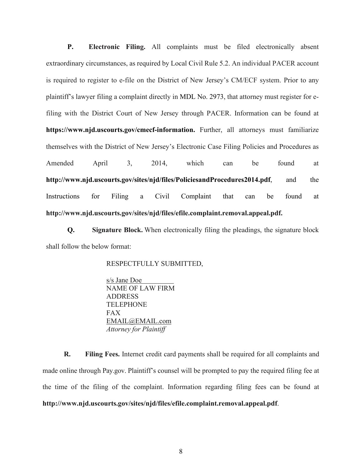**P. Electronic Filing.** All complaints must be filed electronically absent extraordinary circumstances, as required by Local Civil Rule 5.2. An individual PACER account is required to register to e-file on the District of New Jersey's CM/ECF system. Prior to any plaintiff's lawyer filing a complaint directly in MDL No. 2973, that attorney must register for efiling with the District Court of New Jersey through PACER. Information can be found at **https://www.njd.uscourts.gov/cmecf-information.** Further, all attorneys must familiarize themselves with the District of New Jersey's Electronic Case Filing Policies and Procedures as Amended April 3, 2014, which can be found at **http://www.njd.uscourts.gov/sites/njd/files/PoliciesandProcedures2014.pdf**, and the Instructions for Filing a Civil Complaint that can be found at **http://www.njd.uscourts.gov/sites/njd/files/efile.complaint.removal.appeal.pdf.**

**Q. Signature Block.** When electronically filing the pleadings, the signature block shall follow the below format:

RESPECTFULLY SUBMITTED,

s/s Jane Doe NAME OF LAW FIRM ADDRESS TELEPHONE FAX EMAIL@EMAIL.com *Attorney for Plaintiff*

**R. Filing Fees.** Internet credit card payments shall be required for all complaints and made online through Pay.gov. Plaintiff's counsel will be prompted to pay the required filing fee at the time of the filing of the complaint. Information regarding filing fees can be found at **http://www.njd.uscourts.gov/sites/njd/files/efile.complaint.removal.appeal.pdf**.